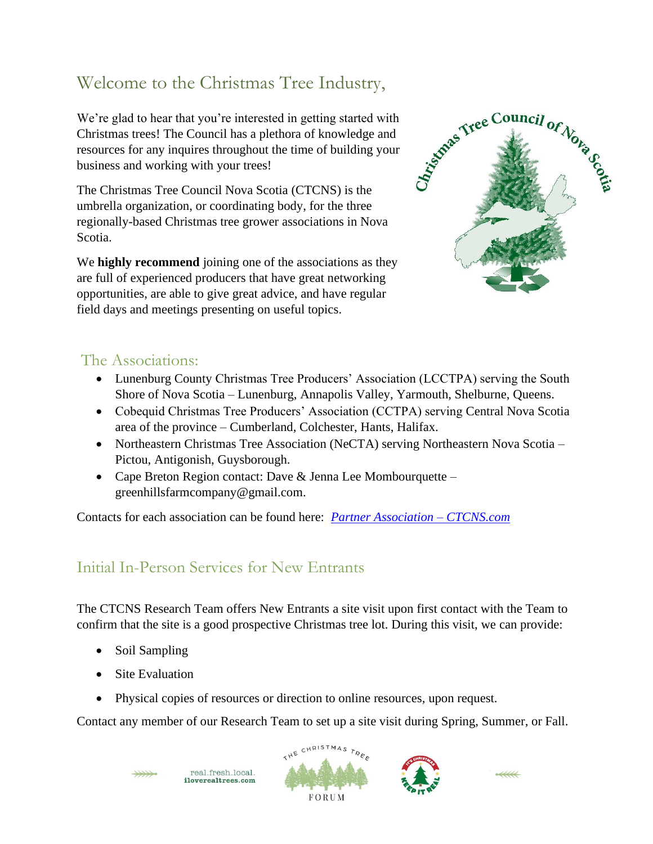# Welcome to the Christmas Tree Industry,

We're glad to hear that you're interested in getting started with Christmas trees! The Council has a plethora of knowledge and resources for any inquires throughout the time of building your business and working with your trees!

The Christmas Tree Council Nova Scotia (CTCNS) is the umbrella organization, or coordinating body, for the three regionally-based Christmas tree grower associations in Nova Scotia.

We **highly recommend** joining one of the associations as they are full of experienced producers that have great networking opportunities, are able to give great advice, and have regular field days and meetings presenting on useful topics.



#### The Associations:

- Lunenburg County Christmas Tree Producers' Association (LCCTPA) serving the South Shore of Nova Scotia – Lunenburg, Annapolis Valley, Yarmouth, Shelburne, Queens.
- Cobequid Christmas Tree Producers' Association (CCTPA) serving Central Nova Scotia area of the province – Cumberland, Colchester, Hants, Halifax.
- Northeastern Christmas Tree Association (NeCTA) serving Northeastern Nova Scotia Pictou, Antigonish, Guysborough.
- Cape Breton Region contact: Dave & Jenna Lee Mombourquette greenhillsfarmcompany@gmail.com.

Contacts for each association can be found here: *[Partner Association –](https://ctcns.com/association/about/) CTCNS.com*

#### Initial In-Person Services for New Entrants

The CTCNS Research Team offers New Entrants a site visit upon first contact with the Team to confirm that the site is a good prospective Christmas tree lot. During this visit, we can provide:

- Soil Sampling
- Site Evaluation
- Physical copies of resources or direction to online resources*,* upon request.

Contact any member of our Research Team to set up a site visit during Spring, Summer, or Fall.







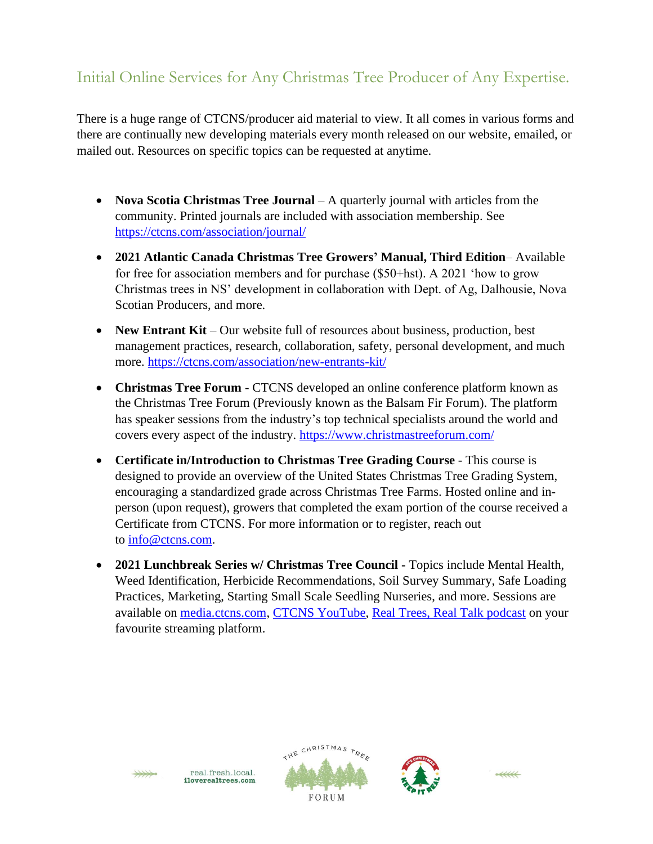## Initial Online Services for Any Christmas Tree Producer of Any Expertise.

There is a huge range of CTCNS/producer aid material to view. It all comes in various forms and there are continually new developing materials every month released on our website, emailed, or mailed out. Resources on specific topics can be requested at anytime.

- **Nova Scotia Christmas Tree Journal** A quarterly journal with articles from the community. Printed journals are included with association membership. See <https://ctcns.com/association/journal/>
- **2021 Atlantic Canada Christmas Tree Growers' Manual, Third Edition** Available for free for association members and for purchase (\$50+hst). A 2021 'how to grow Christmas trees in NS' development in collaboration with Dept. of Ag, Dalhousie, Nova Scotian Producers, and more.
- **New Entrant Kit** Our website full of resources about business, production, best management practices, research, collaboration, safety, personal development, and much more. <https://ctcns.com/association/new-entrants-kit/>
- **Christmas Tree Forum** CTCNS developed an online conference platform known as the Christmas Tree Forum (Previously known as the Balsam Fir Forum). The platform has speaker sessions from the industry's top technical specialists around the world and covers every aspect of the industry.<https://www.christmastreeforum.com/>
- **Certificate in/Introduction to Christmas Tree Grading Course** This course is designed to provide an overview of the United States Christmas Tree Grading System, encouraging a standardized grade across Christmas Tree Farms. Hosted online and inperson (upon request), growers that completed the exam portion of the course received a Certificate from CTCNS. For more information or to register, reach out to [info@ctcns.com.](mailto:info@ctcns.com)
- **2021 Lunchbreak Series w/ Christmas Tree Council -** Topics include Mental Health, Weed Identification, Herbicide Recommendations, Soil Survey Summary, Safe Loading Practices, Marketing, Starting Small Scale Seedling Nurseries, and more. Sessions are available on [media.ctcns.com,](https://media.ctcns.com/) [CTCNS YouTube,](https://www.youtube.com/channel/UC-aVbmRhEVXJvPV7y--b54A/featured) [Real Trees, Real Talk podcast](https://open.spotify.com/show/5aGJNzMPk6Ega6kEOEpmWN?si=6f1839ad8b39461a) on your favourite streaming platform.







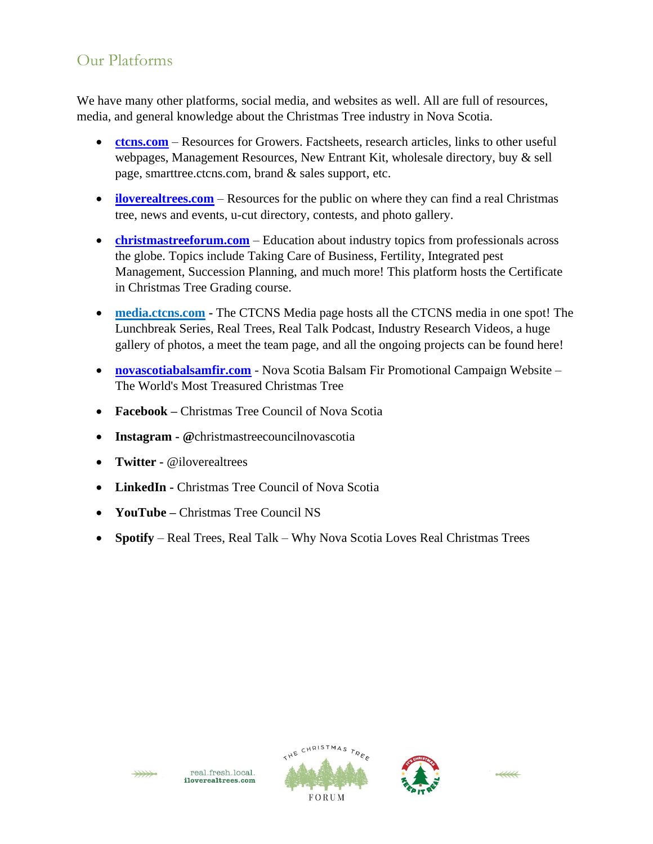#### Our Platforms

We have many other platforms, social media, and websites as well. All are full of resources, media, and general knowledge about the Christmas Tree industry in Nova Scotia.

- **[ctcns.com](https://ctcns.com/)** Resources for Growers. Factsheets, research articles, links to other useful webpages, Management Resources, New Entrant Kit, wholesale directory, buy & sell page, smarttree.ctcns.com, brand & sales support, etc.
- **[iloverealtrees.com](https://iloverealtrees.com/)** Resources for the public on where they can find a real Christmas tree, news and events, u-cut directory, contests, and photo gallery.
- **[christmastreeforum.com](https://www.christmastreeforum.com/)** Education about industry topics from professionals across the globe. Topics include Taking Care of Business, Fertility, Integrated pest Management, Succession Planning, and much more! This platform hosts the Certificate in Christmas Tree Grading course.
- **[media.ctcns.com](https://media.ctcns.com/) -** The CTCNS Media page hosts all the CTCNS media in one spot! The Lunchbreak Series, Real Trees, Real Talk Podcast, Industry Research Videos, a huge gallery of photos, a meet the team page, and all the ongoing projects can be found here!
- **[novascotiabalsamfir.com](https://novascotiabalsamfir.com/)** Nova Scotia Balsam Fir Promotional Campaign Website The World's Most Treasured Christmas Tree
- **Facebook** Christmas Tree Council of Nova Scotia
- **Instagram - @**christmastreecouncilnovascotia
- **Twitter -** @iloverealtrees
- **LinkedIn -** Christmas Tree Council of Nova Scotia
- **YouTube –** Christmas Tree Council NS
- **Spotify**  Real Trees, Real Talk Why Nova Scotia Loves Real Christmas Trees







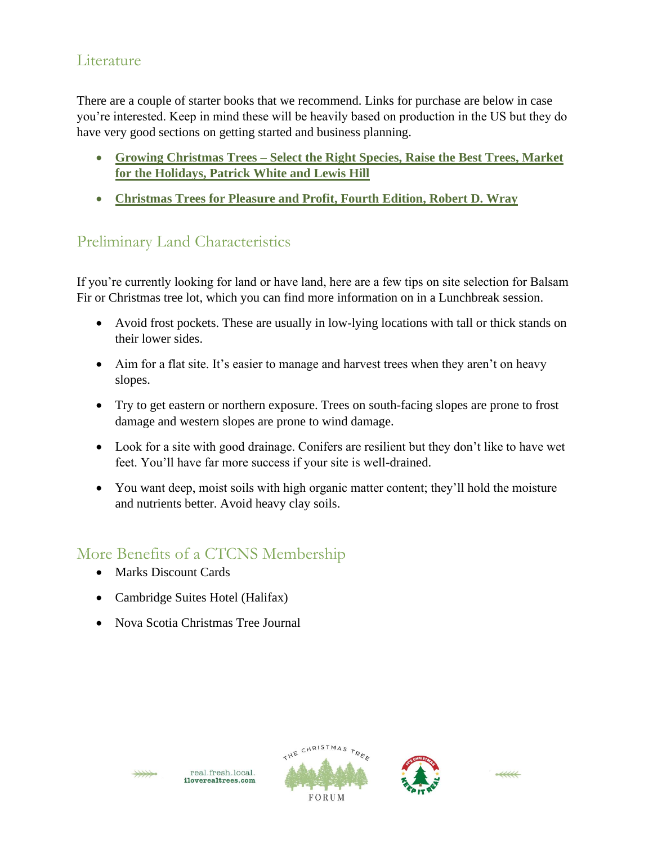### Literature

There are a couple of starter books that we recommend. Links for purchase are below in case you're interested. Keep in mind these will be heavily based on production in the US but they do have very good sections on getting started and business planning.

- **Growing Christmas Trees – [Select the Right Species, Raise the Best Trees, Market](https://books.google.ca/books?id=CbXIAwAAQBAJ&printsec=frontcover&dq=book+growing+christmas+trees+patrick+white+and+lewis+hill&hl=en&sa=X&ved=0ahUKEwiFmd3vzZnmAhWKMd8KHWSnBFMQ6AEIKTAA#v=onepage&q=book%20growing%20christmas%20trees%20patrick%20white%20and%20lewis%20hill&f=false)  [for the Holidays, Patrick White and Lewis Hill](https://books.google.ca/books?id=CbXIAwAAQBAJ&printsec=frontcover&dq=book+growing+christmas+trees+patrick+white+and+lewis+hill&hl=en&sa=X&ved=0ahUKEwiFmd3vzZnmAhWKMd8KHWSnBFMQ6AEIKTAA#v=onepage&q=book%20growing%20christmas%20trees%20patrick%20white%20and%20lewis%20hill&f=false)**
- **[Christmas Trees for Pleasure and Profit, Fourth Edition, Robert D. Wray](https://books.google.ca/books?id=rBbZtqi6RaEC&printsec=frontcover&dq=christmas+trees+for+pleasure+and+profit+chapman+wray&hl=en&sa=X&ved=0ahUKEwiR7JKGzpnmAhUrxVkKHTcOCq4Q6AEIKTAA#v=onepage&q&f=false)**

# Preliminary Land Characteristics

If you're currently looking for land or have land, here are a few tips on site selection for Balsam Fir or Christmas tree lot, which you can find more information on in a Lunchbreak session.

- Avoid frost pockets. These are usually in low-lying locations with tall or thick stands on their lower sides.
- Aim for a flat site. It's easier to manage and harvest trees when they aren't on heavy slopes.
- Try to get eastern or northern exposure. Trees on south-facing slopes are prone to frost damage and western slopes are prone to wind damage.
- Look for a site with good drainage. Conifers are resilient but they don't like to have wet feet. You'll have far more success if your site is well-drained.
- You want deep, moist soils with high organic matter content; they'll hold the moisture and nutrients better. Avoid heavy clay soils.

## More Benefits of a CTCNS Membership

- Marks Discount Cards
- Cambridge Suites Hotel (Halifax)
- Nova Scotia Christmas Tree Journal